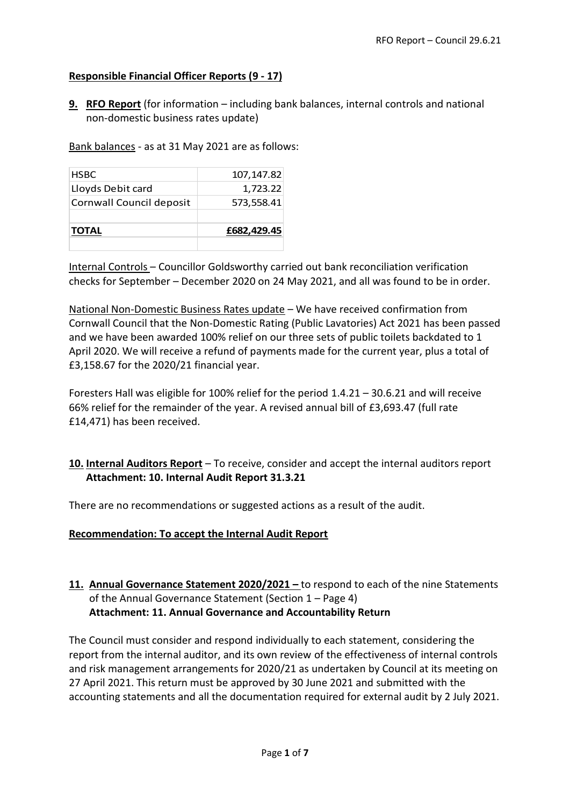# **Responsible Financial Officer Reports (9 - 17)**

**9. RFO Report** (for information – including bank balances, internal controls and national non-domestic business rates update)

Bank balances - as at 31 May 2021 are as follows:

| <b>HSBC</b>              | 107, 147.82 |
|--------------------------|-------------|
| Lloyds Debit card        | 1,723.22    |
| Cornwall Council deposit | 573,558.41  |
| <b>TOTAL</b>             | £682,429.45 |

Internal Controls – Councillor Goldsworthy carried out bank reconciliation verification checks for September – December 2020 on 24 May 2021, and all was found to be in order.

National Non-Domestic Business Rates update – We have received confirmation from Cornwall Council that the Non-Domestic Rating (Public Lavatories) Act 2021 has been passed and we have been awarded 100% relief on our three sets of public toilets backdated to 1 April 2020. We will receive a refund of payments made for the current year, plus a total of £3,158.67 for the 2020/21 financial year.

Foresters Hall was eligible for 100% relief for the period 1.4.21 – 30.6.21 and will receive 66% relief for the remainder of the year. A revised annual bill of £3,693.47 (full rate £14,471) has been received.

# **10. Internal Auditors Report** – To receive, consider and accept the internal auditors report **Attachment: 10. Internal Audit Report 31.3.21**

There are no recommendations or suggested actions as a result of the audit.

### **Recommendation: To accept the Internal Audit Report**

# **11. Annual Governance Statement 2020/2021 –** to respond to each of the nine Statements of the Annual Governance Statement (Section 1 – Page 4) **Attachment: 11. Annual Governance and Accountability Return**

The Council must consider and respond individually to each statement, considering the report from the internal auditor, and its own review of the effectiveness of internal controls and risk management arrangements for 2020/21 as undertaken by Council at its meeting on 27 April 2021. This return must be approved by 30 June 2021 and submitted with the accounting statements and all the documentation required for external audit by 2 July 2021.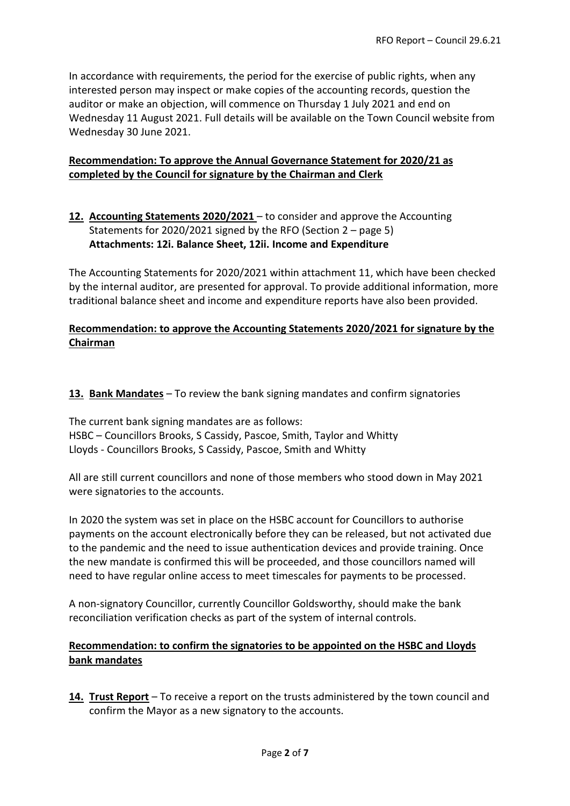In accordance with requirements, the period for the exercise of public rights, when any interested person may inspect or make copies of the accounting records, question the auditor or make an objection, will commence on Thursday 1 July 2021 and end on Wednesday 11 August 2021. Full details will be available on the Town Council website from Wednesday 30 June 2021.

### **Recommendation: To approve the Annual Governance Statement for 2020/21 as completed by the Council for signature by the Chairman and Clerk**

# **12. Accounting Statements 2020/2021** – to consider and approve the Accounting Statements for 2020/2021 signed by the RFO (Section 2 – page 5) **Attachments: 12i. Balance Sheet, 12ii. Income and Expenditure**

The Accounting Statements for 2020/2021 within attachment 11, which have been checked by the internal auditor, are presented for approval. To provide additional information, more traditional balance sheet and income and expenditure reports have also been provided.

# **Recommendation: to approve the Accounting Statements 2020/2021 for signature by the Chairman**

**13. Bank Mandates** – To review the bank signing mandates and confirm signatories

The current bank signing mandates are as follows: HSBC – Councillors Brooks, S Cassidy, Pascoe, Smith, Taylor and Whitty Lloyds - Councillors Brooks, S Cassidy, Pascoe, Smith and Whitty

All are still current councillors and none of those members who stood down in May 2021 were signatories to the accounts.

In 2020 the system was set in place on the HSBC account for Councillors to authorise payments on the account electronically before they can be released, but not activated due to the pandemic and the need to issue authentication devices and provide training. Once the new mandate is confirmed this will be proceeded, and those councillors named will need to have regular online access to meet timescales for payments to be processed.

A non-signatory Councillor, currently Councillor Goldsworthy, should make the bank reconciliation verification checks as part of the system of internal controls.

# **Recommendation: to confirm the signatories to be appointed on the HSBC and Lloyds bank mandates**

**14. Trust Report** – To receive a report on the trusts administered by the town council and confirm the Mayor as a new signatory to the accounts.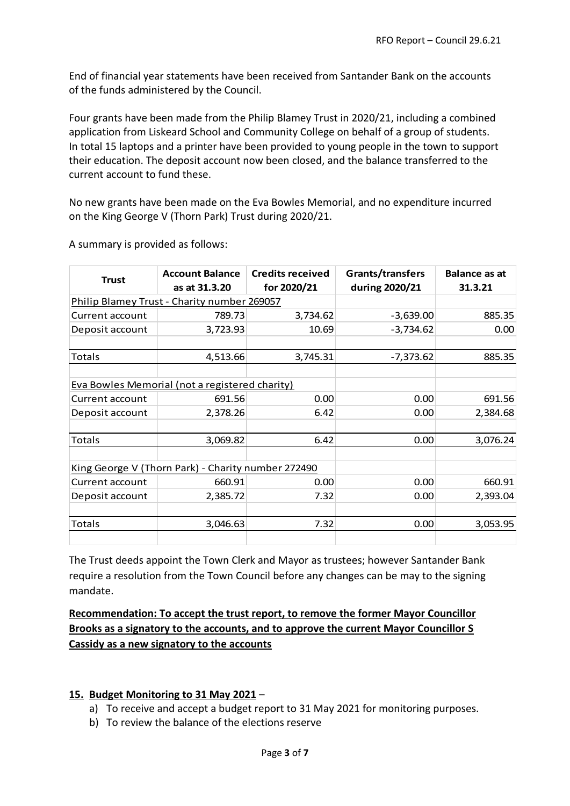End of financial year statements have been received from Santander Bank on the accounts of the funds administered by the Council.

Four grants have been made from the Philip Blamey Trust in 2020/21, including a combined application from Liskeard School and Community College on behalf of a group of students. In total 15 laptops and a printer have been provided to young people in the town to support their education. The deposit account now been closed, and the balance transferred to the current account to fund these.

No new grants have been made on the Eva Bowles Memorial, and no expenditure incurred on the King George V (Thorn Park) Trust during 2020/21.

| <b>Trust</b>    | <b>Account Balance</b>                             | <b>Credits received</b> | Grants/transfers | <b>Balance as at</b> |
|-----------------|----------------------------------------------------|-------------------------|------------------|----------------------|
|                 | as at 31.3.20                                      | for 2020/21             | during 2020/21   | 31.3.21              |
|                 | Philip Blamey Trust - Charity number 269057        |                         |                  |                      |
| Current account | 789.73                                             | 3,734.62                | $-3,639.00$      | 885.35               |
| Deposit account | 3,723.93                                           | 10.69                   | $-3,734.62$      | 0.00                 |
|                 |                                                    |                         |                  |                      |
| Totals          | 4,513.66                                           | 3,745.31                | $-7,373.62$      | 885.35               |
|                 |                                                    |                         |                  |                      |
|                 | Eva Bowles Memorial (not a registered charity)     |                         |                  |                      |
| Current account | 691.56                                             | 0.00                    | 0.00             | 691.56               |
| Deposit account | 2,378.26                                           | 6.42                    | 0.00             | 2,384.68             |
|                 |                                                    |                         |                  |                      |
| Totals          | 3,069.82                                           | 6.42                    | 0.00             | 3,076.24             |
|                 |                                                    |                         |                  |                      |
|                 | King George V (Thorn Park) - Charity number 272490 |                         |                  |                      |
| Current account | 660.91                                             | 0.00                    | 0.00             | 660.91               |
| Deposit account | 2,385.72                                           | 7.32                    | 0.00             | 2,393.04             |
|                 |                                                    |                         |                  |                      |
| Totals          | 3,046.63                                           | 7.32                    | 0.00             | 3,053.95             |
|                 |                                                    |                         |                  |                      |

A summary is provided as follows:

The Trust deeds appoint the Town Clerk and Mayor as trustees; however Santander Bank require a resolution from the Town Council before any changes can be may to the signing mandate.

# **Recommendation: To accept the trust report, to remove the former Mayor Councillor Brooks as a signatory to the accounts, and to approve the current Mayor Councillor S Cassidy as a new signatory to the accounts**

### **15. Budget Monitoring to 31 May 2021** –

- a) To receive and accept a budget report to 31 May 2021 for monitoring purposes.
- b) To review the balance of the elections reserve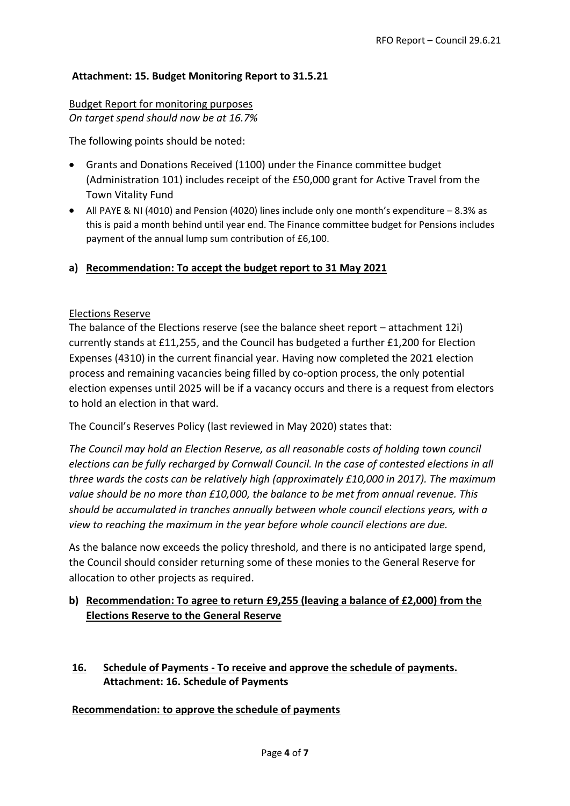### **Attachment: 15. Budget Monitoring Report to 31.5.21**

#### Budget Report for monitoring purposes *On target spend should now be at 16.7%*

The following points should be noted:

- Grants and Donations Received (1100) under the Finance committee budget (Administration 101) includes receipt of the £50,000 grant for Active Travel from the Town Vitality Fund
- All PAYE & NI (4010) and Pension (4020) lines include only one month's expenditure 8.3% as this is paid a month behind until year end. The Finance committee budget for Pensions includes payment of the annual lump sum contribution of £6,100.

### **a) Recommendation: To accept the budget report to 31 May 2021**

#### Elections Reserve

The balance of the Elections reserve (see the balance sheet report – attachment 12i) currently stands at £11,255, and the Council has budgeted a further £1,200 for Election Expenses (4310) in the current financial year. Having now completed the 2021 election process and remaining vacancies being filled by co-option process, the only potential election expenses until 2025 will be if a vacancy occurs and there is a request from electors to hold an election in that ward.

The Council's Reserves Policy (last reviewed in May 2020) states that:

*The Council may hold an Election Reserve, as all reasonable costs of holding town council elections can be fully recharged by Cornwall Council. In the case of contested elections in all three wards the costs can be relatively high (approximately £10,000 in 2017). The maximum value should be no more than £10,000, the balance to be met from annual revenue. This should be accumulated in tranches annually between whole council elections years, with a view to reaching the maximum in the year before whole council elections are due.*

As the balance now exceeds the policy threshold, and there is no anticipated large spend, the Council should consider returning some of these monies to the General Reserve for allocation to other projects as required.

### **b) Recommendation: To agree to return £9,255 (leaving a balance of £2,000) from the Elections Reserve to the General Reserve**

**16. Schedule of Payments - To receive and approve the schedule of payments. Attachment: 16. Schedule of Payments**

#### **Recommendation: to approve the schedule of payments**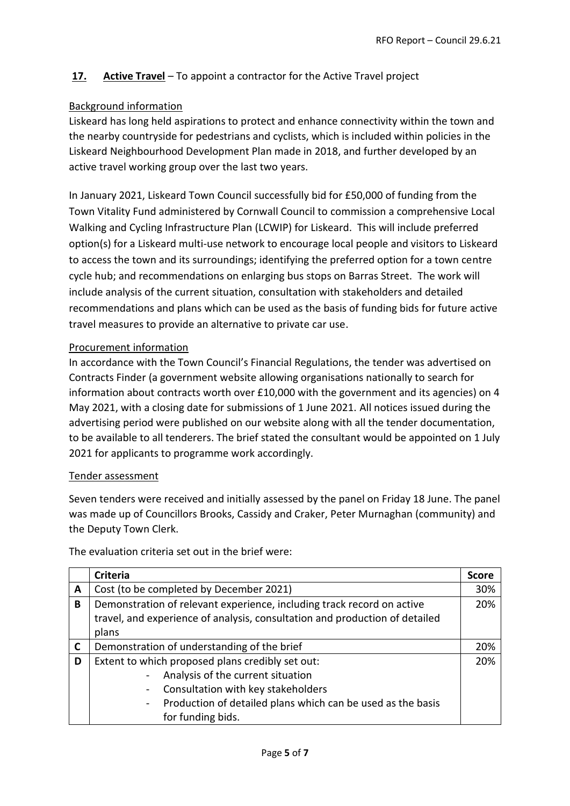# **17. Active Travel** – To appoint a contractor for the Active Travel project

### Background information

Liskeard has long held aspirations to protect and enhance connectivity within the town and the nearby countryside for pedestrians and cyclists, which is included within policies in the Liskeard Neighbourhood Development Plan made in 2018, and further developed by an active travel working group over the last two years.

In January 2021, Liskeard Town Council successfully bid for £50,000 of funding from the Town Vitality Fund administered by Cornwall Council to commission a comprehensive Local Walking and Cycling Infrastructure Plan (LCWIP) for Liskeard. This will include preferred option(s) for a Liskeard multi-use network to encourage local people and visitors to Liskeard to access the town and its surroundings; identifying the preferred option for a town centre cycle hub; and recommendations on enlarging bus stops on Barras Street. The work will include analysis of the current situation, consultation with stakeholders and detailed recommendations and plans which can be used as the basis of funding bids for future active travel measures to provide an alternative to private car use.

### Procurement information

In accordance with the Town Council's Financial Regulations, the tender was advertised on Contracts Finder (a government website allowing organisations nationally to search for information about contracts worth over £10,000 with the government and its agencies) on 4 May 2021, with a closing date for submissions of 1 June 2021. All notices issued during the advertising period were published on our website along with all the tender documentation, to be available to all tenderers. The brief stated the consultant would be appointed on 1 July 2021 for applicants to programme work accordingly.

#### Tender assessment

Seven tenders were received and initially assessed by the panel on Friday 18 June. The panel was made up of Councillors Brooks, Cassidy and Craker, Peter Murnaghan (community) and the Deputy Town Clerk.

|              | <b>Criteria</b>                                                                                                                                                                                                                                     | <b>Score</b> |
|--------------|-----------------------------------------------------------------------------------------------------------------------------------------------------------------------------------------------------------------------------------------------------|--------------|
| A            | Cost (to be completed by December 2021)                                                                                                                                                                                                             | 30%          |
| B            | Demonstration of relevant experience, including track record on active<br>travel, and experience of analysis, consultation and production of detailed<br>plans                                                                                      | 20%          |
| $\mathsf{C}$ | Demonstration of understanding of the brief                                                                                                                                                                                                         | 20%          |
| D            | Extent to which proposed plans credibly set out:<br>Analysis of the current situation<br>Consultation with key stakeholders<br>$\blacksquare$<br>Production of detailed plans which can be used as the basis<br>$\blacksquare$<br>for funding bids. | 20%          |

The evaluation criteria set out in the brief were: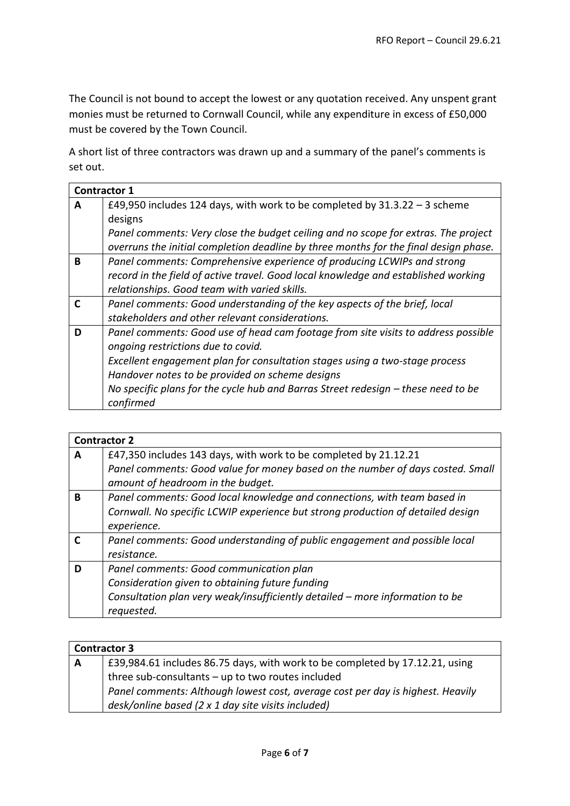The Council is not bound to accept the lowest or any quotation received. Any unspent grant monies must be returned to Cornwall Council, while any expenditure in excess of £50,000 must be covered by the Town Council.

A short list of three contractors was drawn up and a summary of the panel's comments is set out.

| <b>Contractor 1</b> |                                                                                      |
|---------------------|--------------------------------------------------------------------------------------|
| A                   | £49,950 includes 124 days, with work to be completed by $31.3.22 - 3$ scheme         |
|                     | designs                                                                              |
|                     | Panel comments: Very close the budget ceiling and no scope for extras. The project   |
|                     | overruns the initial completion deadline by three months for the final design phase. |
| B                   | Panel comments: Comprehensive experience of producing LCWIPs and strong              |
|                     | record in the field of active travel. Good local knowledge and established working   |
|                     | relationships. Good team with varied skills.                                         |
| C                   | Panel comments: Good understanding of the key aspects of the brief, local            |
|                     | stakeholders and other relevant considerations.                                      |
| D                   | Panel comments: Good use of head cam footage from site visits to address possible    |
|                     | ongoing restrictions due to covid.                                                   |
|                     | Excellent engagement plan for consultation stages using a two-stage process          |
|                     | Handover notes to be provided on scheme designs                                      |
|                     | No specific plans for the cycle hub and Barras Street redesign - these need to be    |
|                     | confirmed                                                                            |

|   | <b>Contractor 2</b>                                                             |
|---|---------------------------------------------------------------------------------|
| A | £47,350 includes 143 days, with work to be completed by 21.12.21                |
|   | Panel comments: Good value for money based on the number of days costed. Small  |
|   | amount of headroom in the budget.                                               |
| B | Panel comments: Good local knowledge and connections, with team based in        |
|   | Cornwall. No specific LCWIP experience but strong production of detailed design |
|   | experience.                                                                     |
|   | Panel comments: Good understanding of public engagement and possible local      |
|   | resistance.                                                                     |
| D | Panel comments: Good communication plan                                         |
|   | Consideration given to obtaining future funding                                 |
|   | Consultation plan very weak/insufficiently detailed – more information to be    |
|   | requested.                                                                      |

| <b>Contractor 3</b> |                                                                                |
|---------------------|--------------------------------------------------------------------------------|
| ⊩ A                 | £39,984.61 includes 86.75 days, with work to be completed by 17.12.21, using   |
|                     | three sub-consultants $-$ up to two routes included                            |
|                     | Panel comments: Although lowest cost, average cost per day is highest. Heavily |
|                     | desk/online based (2 x 1 day site visits included)                             |